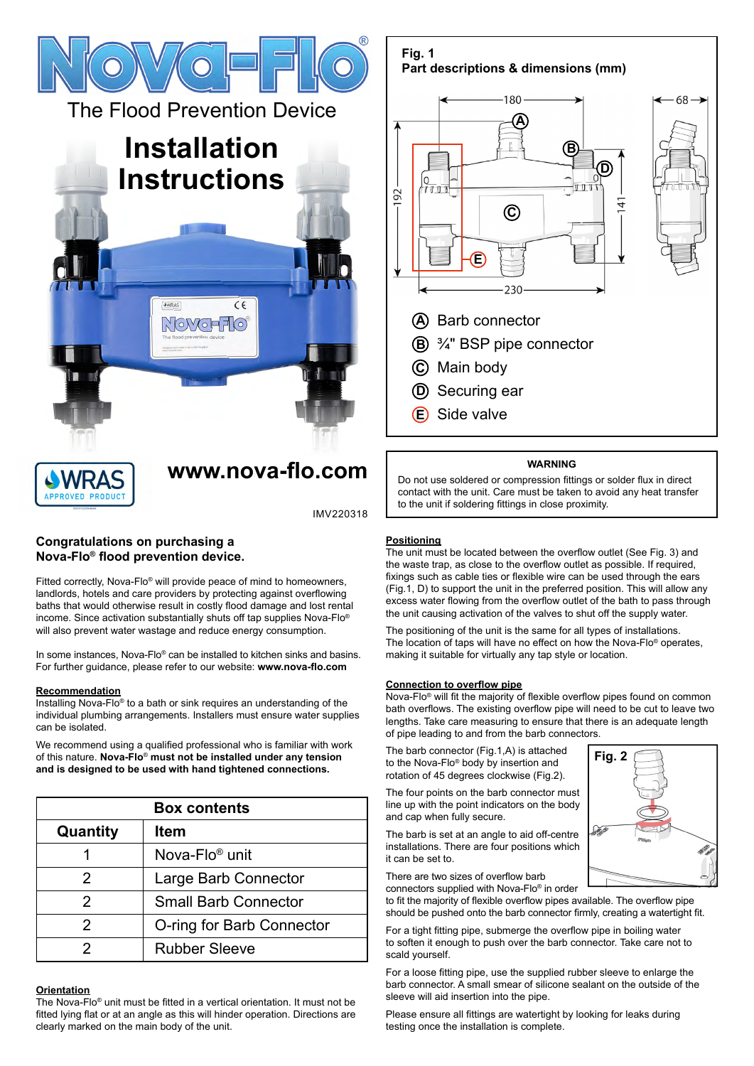

The Flood Prevention Device

# **Installation Instructions**

 $\sqrt{6N}$ 

# **[www.nova-flo.com](http://nova-flo.com/)**

 $C \in$ 

IMV220318

# **Congratulations on purchasing a Nova-Flo® flood prevention device.**

Fitted correctly, Nova-Flo® will provide peace of mind to homeowners, landlords, hotels and care providers by protecting against overflowing baths that would otherwise result in costly flood damage and lost rental income. Since activation substantially shuts off tap supplies Nova-Flo® will also prevent water wastage and reduce energy consumption.

In some instances. Nova-Flo<sup>®</sup> can be installed to kitchen sinks and basins. For further guidance, please refer to our website: **www.nova-flo.com**

# **Recommendation**

Installing Nova-Flo® to a bath or sink requires an understanding of the individual plumbing arrangements. Installers must ensure water supplies can be isolated.

We recommend using a qualified professional who is familiar with work of this nature. **Nova-Flo**® **must not be installed under any tension and is designed to be used with hand tightened connections.**

| <b>Box contents</b> |                             |  |
|---------------------|-----------------------------|--|
| Quantity            | <b>Item</b>                 |  |
|                     | Nova-Flo <sup>®</sup> unit  |  |
| 2                   | Large Barb Connector        |  |
| 2                   | <b>Small Barb Connector</b> |  |
| 2                   | O-ring for Barb Connector   |  |
|                     | <b>Rubber Sleeve</b>        |  |

# **Orientation**

The Nova-Flo® unit must be fitted in a vertical orientation. It must not be fitted lying flat or at an angle as this will hinder operation. Directions are clearly marked on the main body of the unit.

**Part descriptions & dimensions (mm)** 80 68 **A B D** $\overline{u}$  $77.1$ 92 Ψ **C E** 230 **A** Barb connector ¾" BSP pipe connector **B** Main body **C D**) Securing ear Side valve **E**

### **WARNING**

Do not use soldered or compression fittings or solder flux in direct contact with the unit. Care must be taken to avoid any heat transfer to the unit if soldering fittings in close proximity.

# **Positioning**

**Fig. 1**

The unit must be located between the overflow outlet (See Fig. 3) and the waste trap, as close to the overflow outlet as possible. If required, fixings such as cable ties or flexible wire can be used through the ears (Fig.1, D) to support the unit in the preferred position. This will allow any excess water flowing from the overflow outlet of the bath to pass through the unit causing activation of the valves to shut off the supply water.

The positioning of the unit is the same for all types of installations. The location of taps will have no effect on how the Nova-Flo® operates, making it suitable for virtually any tap style or location.

#### **Connection to overflow pipe**

Nova-Flo® will fit the majority of flexible overflow pipes found on common bath overflows. The existing overflow pipe will need to be cut to leave two lengths. Take care measuring to ensure that there is an adequate length of pipe leading to and from the barb connectors.

The barb connector (Fig.1,A) is attached to the Nova-Flo® body by insertion and rotation of 45 degrees clockwise (Fig.2).

The four points on the barb connector must line up with the point indicators on the body and cap when fully secure.

The barb is set at an angle to aid off-centre installations. There are four positions which it can be set to.

There are two sizes of overflow barb connectors supplied with Nova-Flo® in order

to fit the majority of flexible overflow pipes available. The overflow pipe should be pushed onto the barb connector firmly, creating a watertight fit.

For a tight fitting pipe, submerge the overflow pipe in boiling water to soften it enough to push over the barb connector. Take care not to scald yourself.

For a loose fitting pipe, use the supplied rubber sleeve to enlarge the barb connector. A small smear of silicone sealant on the outside of the sleeve will aid insertion into the pipe.

Please ensure all fittings are watertight by looking for leaks during testing once the installation is complete.